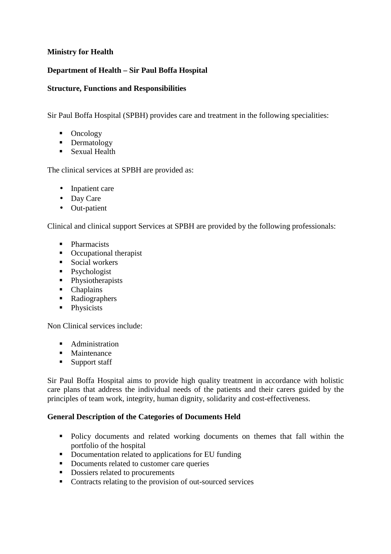# **Ministry for Health**

# **Department of Health – Sir Paul Boffa Hospital**

#### **Structure, Functions and Responsibilities**

Sir Paul Boffa Hospital (SPBH) provides care and treatment in the following specialities:

- Oncology
- Dermatology
- Sexual Health

The clinical services at SPBH are provided as:

- Inpatient care
- Day Care
- Out-patient

Clinical and clinical support Services at SPBH are provided by the following professionals:

- Pharmacists
- Occupational therapist
- **Social workers**
- Psychologist
- Physiotherapists
- Chaplains
- Radiographers
- Physicists

Non Clinical services include:

- **Administration**
- **Maintenance**
- **Support staff**

Sir Paul Boffa Hospital aims to provide high quality treatment in accordance with holistic care plans that address the individual needs of the patients and their carers guided by the principles of team work, integrity, human dignity, solidarity and cost-effectiveness.

#### **General Description of the Categories of Documents Held**

- Policy documents and related working documents on themes that fall within the portfolio of the hospital
- Documentation related to applications for EU funding
- Documents related to customer care queries
- Dossiers related to procurements
- Contracts relating to the provision of out-sourced services